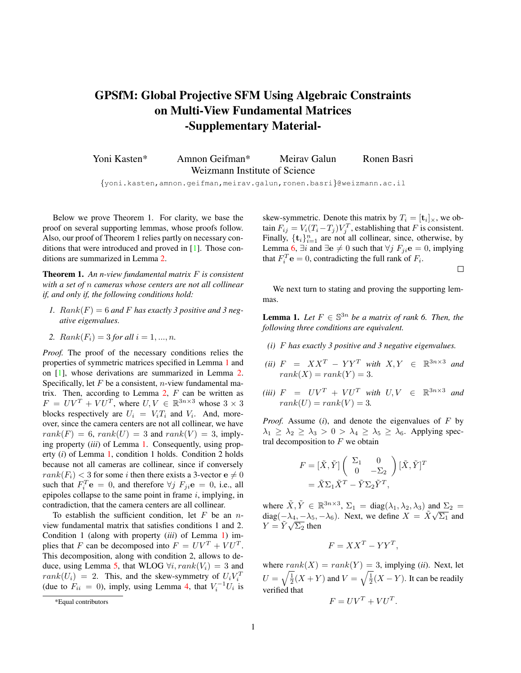## <span id="page-0-0"></span>**GPSfM: Global Projective SFM Using Algebraic Constraints on Multi-View Fundamental Matrices -Supplementary Material-**

Yoni Kasten\* Amnon Geifman\* Meirav Galun Ronen Basri Weizmann Institute of Science

{yoni.kasten,amnon.geifman,meirav.galun,ronen.basri}@weizmann.ac.il

Below we prove Theorem 1. For clarity, we base the proof on several supporting lemmas, whose proofs follow. Also, our proof of Theorem 1 relies partly on necessary conditions that were introduced and proved in [[1\]](#page-2-0). Those conditions are summarized in Lemma [2.](#page-1-0)

**Theorem 1.** *An n-view fundamental matrix* F *is consistent with a set of* n *cameras whose centers are not all collinear if, and only if, the following conditions hold:*

- 1.  $Rank(F) = 6$  and F has exactly 3 positive and 3 neg*ative eigenvalues.*
- 2.  $Rank(F_i) = 3$  *for all*  $i = 1, ..., n$ .

*Proof.* The proof of the necessary conditions relies the properties of symmetric matrices specified in Lemma 1 and on [[1\]](#page-2-0), whose derivations are summarized in Lemma [2.](#page-1-0) Specifically, let  $F$  be a consistent, *n*-view fundamental matrix. Then, according to Lemma  $2$ ,  $F$  can be written as  $F = UV^T + VU^T$ , where  $U, V \in \mathbb{R}^{3n \times 3}$  whose  $3 \times 3$ blocks respectively are  $U_i = V_i T_i$  and  $V_i$ . And, moreover, since the camera centers are not all collinear, we have  $rank(F) = 6$ ,  $rank(U) = 3$  and  $rank(V) = 3$ , implying property (*iii*) of Lemma 1. Consequently, using property (*i*) of Lemma 1, condition 1 holds. Condition 2 holds because not all cameras are collinear, since if conversely  $rank(F_i) < 3$  for some *i* then there exists a 3-vector  $e \neq 0$ such that  $F_i^T$ **e** = 0, and therefore  $\forall j$   $F_{ji}$ **e** = 0, i.e., all epipoles collapse to the same point in frame  $i$ , implying, in contradiction, that the camera centers are all collinear.

To establish the sufficient condition, let  $F$  be an  $n$ view fundamental matrix that satisfies conditions 1 and 2. Condition 1 (along with property (*iii*) of Lemma 1) implies that F can be decomposed into  $F = UV^T + VU^T$ . This decomposition, along with condition 2, allows to de-duce, using Lemma [5](#page-2-0), that WLOG  $\forall i, rank(V_i) = 3$  and  $rank(U_i) = 2$ . This, and the skew-symmetry of  $U_i V_i^T$ (due to  $F_{ii} = 0$ ), imply, using Lemma [4,](#page-1-0) that  $V_i^{-1}U_i$  is

skew-symmetric. Denote this matrix by  $T_i = [\mathbf{t}_i]_{\times}$ , we obtain  $F_{ij} = V_i(T_i - T_j)V_j^T$ , establishing that F is consistent. Finally,  $\{\mathbf{t}_i\}_{i=1}^n$  are not all collinear, since, otherwise, by Lemma [6](#page-2-0),  $\exists i$  and  $\exists e \neq 0$  such that  $\forall j$   $F_{ji}e = 0$ , implying that  $F_i^T$ **e** = 0, contradicting the full rank of  $F_i$ .

 $\Box$ 

We next turn to stating and proving the supporting lemmas.

**Lemma 1.** *Let*  $F \in \mathbb{S}^{3n}$  *be a matrix of rank 6. Then, the following three conditions are equivalent.*

- *(i)* F *has exactly 3 positive and 3 negative eigenvalues.*
- *(ii)*  $F = XX^T YY^T$  *with*  $X, Y \in \mathbb{R}^{3n \times 3}$  *and*  $rank(X) = rank(Y) = 3.$
- *(iii)*  $F = UV^T + VU^T$  *with*  $U, V \in \mathbb{R}^{3n \times 3}$  *and*  $rank(U) = rank(V) = 3.$

*Proof.* Assume (*i*), and denote the eigenvalues of F by  $\lambda_1 \geq \lambda_2 \geq \lambda_3 > 0 > \lambda_4 \geq \lambda_5 \geq \lambda_6$ . Applying spectral decomposition to  $F$  we obtain

$$
F = [\tilde{X}, \tilde{Y}] \begin{pmatrix} \Sigma_1 & 0 \\ 0 & -\Sigma_2 \end{pmatrix} [\tilde{X}, \tilde{Y}]^T
$$
  
=  $\tilde{X} \Sigma_1 \tilde{X}^T - \tilde{Y} \Sigma_2 \tilde{Y}^T$ ,

where  $\tilde{X}, \tilde{Y} \in \mathbb{R}^{3n \times 3}$ ,  $\Sigma_1 = \text{diag}(\lambda_1, \lambda_2, \lambda_3)$  and  $\Sigma_2 =$ diag( $-\lambda_4, -\lambda_5, -\lambda_6$ ). Next, we define  $X = \tilde{X}\sqrt{\Sigma_1}$  and  $Y = \tilde{Y} \sqrt{\Sigma_2}$  then

$$
F = XX^T - YY^T,
$$

where  $rank(X) = rank(Y) = 3$ , implying (*ii*). Next, let  $U = \sqrt{\frac{1}{2}}(X+Y)$  and  $V = \sqrt{\frac{1}{2}}(X-Y)$ . It can be readily verified that

$$
F = UV^T + VU^T.
$$

<sup>\*</sup>Equal contributors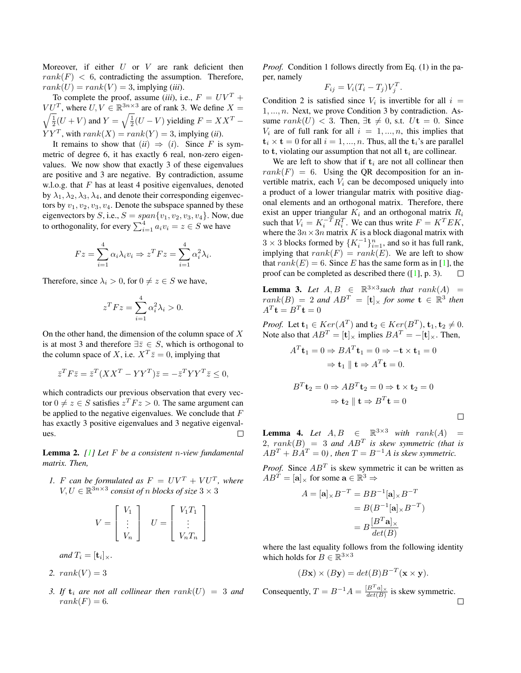<span id="page-1-0"></span>Moreover, if either  $U$  or  $V$  are rank deficient then  $rank(F) < 6$ , contradicting the assumption. Therefore,  $rank(U) = rank(V) = 3$ , implying *(iii)*.

To complete the proof, assume (*iii*), i.e.,  $F = UV^T +$  $VU<sup>T</sup>$ , where  $U, V \in \mathbb{R}^{3n \times 3}$  are of rank 3. We define  $X =$  $\sqrt{\frac{1}{2}}(U+V)$  and  $Y = \sqrt{\frac{1}{2}}(U-V)$  yielding  $F = XX^T YY<sup>T</sup>$ , with  $rank(X) = rank(Y) = 3$ , implying *(ii)*.

It remains to show that  $(ii) \Rightarrow (i)$ . Since F is symmetric of degree 6, it has exactly 6 real, non-zero eigenvalues. We now show that exactly 3 of these eigenvalues are positive and 3 are negative. By contradiction, assume w.l.o.g. that  $F$  has at least 4 positive eigenvalues, denoted by  $\lambda_1, \lambda_2, \lambda_3, \lambda_4$ , and denote their corresponding eigenvectors by  $v_1, v_2, v_3, v_4$ . Denote the subspace spanned by these eigenvectors by S, i.e.,  $S = span{v_1, v_2, v_3, v_4}$ . Now, due to orthogonality, for every  $\sum_{i=1}^{4} a_i v_i = z \in S$  we have

$$
Fz = \sum_{i=1}^{4} \alpha_i \lambda_i v_i \Rightarrow z^T Fz = \sum_{i=1}^{4} \alpha_i^2 \lambda_i.
$$

Therefore, since  $\lambda_i > 0$ , for  $0 \neq z \in S$  we have,

$$
z^T F z = \sum_{i=1}^4 \alpha_i^2 \lambda_i > 0.
$$

On the other hand, the dimension of the column space of  $X$ is at most 3 and therefore  $\exists \overline{z} \in S$ , which is orthogonal to the column space of X, i.e.  $X^T \overline{z} = 0$ , implying that

$$
\bar{z}^T F \bar{z} = \bar{z}^T (XX^T - YY^T) \bar{z} = -\bar{z}^T YY^T \bar{z} \le 0,
$$

which contradicts our previous observation that every vector  $0 \neq z \in S$  satisfies  $z^T F z > 0$ . The same argument can be applied to the negative eigenvalues. We conclude that  $F$ has exactly 3 positive eigenvalues and 3 negative eigenval- $\Box$ ues.

**Lemma 2.** *[[1\]](#page-2-0) Let* F *be a consistent* n*-view fundamental matrix. Then,*

*1. F can be formulated as*  $F = UV^T + VU^T$ *, where*  $V, U \in \mathbb{R}^{3n \times 3}$  *consist of n blocks of size*  $3 \times 3$ 

$$
V = \begin{bmatrix} V_1 \\ \vdots \\ V_n \end{bmatrix} \quad U = \begin{bmatrix} V_1 T_1 \\ \vdots \\ V_n T_n \end{bmatrix}
$$

*and*  $T_i = [\mathbf{t}_i]_{\times}$ *.* 

$$
2. \ \ rank(V) = 3
$$

3. If  $\mathbf{t}_i$  are not all collinear then  $rank(U) = 3$  and  $rank(F) = 6.$ 

*Proof.* Condition 1 follows directly from Eq. (1) in the paper, namely

$$
F_{ij} = V_i (T_i - T_j) V_j^T.
$$

Condition 2 is satisfied since  $V_i$  is invertible for all  $i =$  $1, \ldots, n$ . Next, we prove Condition 3 by contradiction. Assume  $rank(U) < 3$ . Then,  $\exists t \neq 0$ , s.t.  $Ut = 0$ . Since  $V_i$  are of full rank for all  $i = 1, ..., n$ , this implies that  $t_i \times t = 0$  for all  $i = 1, ..., n$ . Thus, all the  $t_i$ 's are parallel to **t**, violating our assumption that not all  $t_i$  are collinear.

We are left to show that if  $t_i$  are not all collinear then  $rank(F) = 6$ . Using the QR decomposition for an invertible matrix, each  $V_i$  can be decomposed uniquely into a product of a lower triangular matrix with positive diagonal elements and an orthogonal matrix. Therefore, there exist an upper triangular  $K_i$  and an orthogonal matrix  $R_i$ such that  $V_i = K_i^{-T} R_i^{T}$ . We can thus write  $F = K^{T} E K$ , where the  $3n \times 3n$  matrix K is a block diagonal matrix with  $3 \times 3$  blocks formed by  $\{K_i^{-1}\}_{i=1}^n$ , and so it has full rank, implying that  $rank(F) = rank(E)$ . We are left to show that  $rank(E) = 6$ . Since E has the same form as in [[1\]](#page-2-0), the proof can be completed as described there  $(1, p. 3)$ .  $\Box$ 

**Lemma 3.** Let  $A, B \in \mathbb{R}^{3 \times 3}$  such that  $rank(A)$  $rank(B) = 2$  and  $AB^T = [\mathbf{t}] \times$  for some  $\mathbf{t} \in \mathbb{R}^3$  then  $A^T \mathbf{t} = B^T \mathbf{t} = 0$ 

*Proof.* Let  $\mathbf{t}_1 \in \text{Ker}(A^T)$  and  $\mathbf{t}_2 \in \text{Ker}(B^T)$ ,  $\mathbf{t}_1, \mathbf{t}_2 \neq 0$ . Note also that  $AB^T = [\mathbf{t}] \times \text{implies } BA^T = -[\mathbf{t}] \times$ . Then,

$$
A^{T} \mathbf{t}_{1} = 0 \Rightarrow BA^{T} \mathbf{t}_{1} = 0 \Rightarrow -\mathbf{t} \times \mathbf{t}_{1} = 0
$$

$$
\Rightarrow \mathbf{t}_{1} \parallel \mathbf{t} \Rightarrow A^{T} \mathbf{t} = 0.
$$

$$
B^{T} \mathbf{t}_{2} = 0 \Rightarrow AB^{T} \mathbf{t}_{2} = 0 \Rightarrow \mathbf{t} \times \mathbf{t}_{2} = 0
$$

$$
\Rightarrow \mathbf{t}_{2} \parallel \mathbf{t} \Rightarrow B^{T} \mathbf{t} = 0
$$

 $\Box$ 

**Lemma 4.** Let  $A, B \in \mathbb{R}^{3 \times 3}$  with rank $(A) =$  $2, rank(B) = 3$  *and*  $AB<sup>T</sup>$  *is skew symmetric (that is*  $\overrightarrow{AB}^T + \overrightarrow{BA}^T = 0$ , then  $T = B^{-1}A$  is skew symmetric.

*Proof.* Since  $AB^T$  is skew symmetric it can be written as  $AB^T = [\mathbf{a}]_{\times}$  for some  $\mathbf{a} \in \mathbb{R}^3 \Rightarrow$ 

$$
A = [\mathbf{a}] \times B^{-T} = BB^{-1}[\mathbf{a}] \times B^{-T}
$$

$$
= B(B^{-1}[\mathbf{a}] \times B^{-T})
$$

$$
= B\frac{[B^{T}\mathbf{a}] \times B^{-T}}{det(B)}
$$

where the last equality follows from the following identity which holds for  $B \in \mathbb{R}^{3 \times 3}$ 

$$
(B\mathbf{x}) \times (B\mathbf{y}) = det(B)B^{-T}(\mathbf{x} \times \mathbf{y}).
$$

Consequently,  $T = B^{-1}A = \frac{[B^T a]_{\times}}{det(B)}$  is skew symmetric.